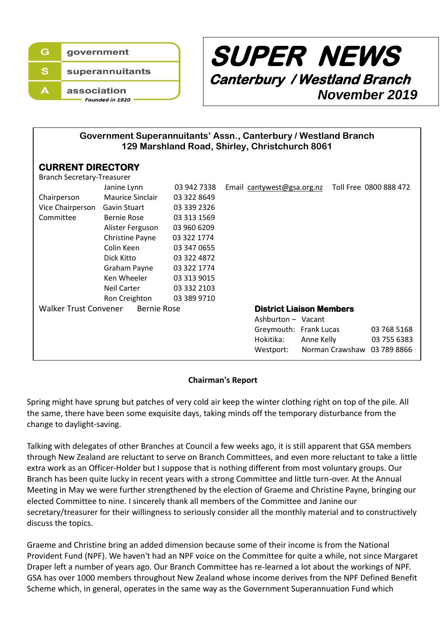



**Government Superannuitants' Assn., Canterbury / Westland Branch 129 Marshland Road, Shirley, Christchurch 8061**

# **CURRENT DIRECTORY**

| <b>Branch Secretary-Treasurer</b>                  |                        |             |                                 |                             |                        |
|----------------------------------------------------|------------------------|-------------|---------------------------------|-----------------------------|------------------------|
|                                                    | Janine Lynn            | 03 942 7338 | Email cantywest@gsa.org.nz      |                             | Toll Free 0800 888 472 |
| Chairperson                                        | Maurice Sinclair       | 03 322 8649 |                                 |                             |                        |
| Vice Chairperson                                   | Gavin Stuart           | 03 339 2326 |                                 |                             |                        |
| Committee                                          | Bernie Rose            | 03 313 1569 |                                 |                             |                        |
|                                                    | Alister Ferguson       | 03 960 6209 |                                 |                             |                        |
|                                                    | <b>Christine Payne</b> | 03 322 1774 |                                 |                             |                        |
|                                                    | Colin Keen             | 03 347 0655 |                                 |                             |                        |
|                                                    | Dick Kitto             | 03 322 4872 |                                 |                             |                        |
|                                                    | Graham Payne           | 03 322 1774 |                                 |                             |                        |
|                                                    | Ken Wheeler            | 03 313 9015 |                                 |                             |                        |
|                                                    | Neil Carter            | 03 332 2103 |                                 |                             |                        |
|                                                    | Ron Creighton          | 03 389 9710 |                                 |                             |                        |
| <b>Walker Trust Convener</b><br><b>Bernie Rose</b> |                        |             | <b>District Liaison Members</b> |                             |                        |
|                                                    |                        |             | Ashburton - Vacant              |                             |                        |
|                                                    |                        |             | Greymouth: Frank Lucas          |                             | 03 768 5168            |
|                                                    |                        |             | Hokitika:                       | Anne Kelly                  | 03 755 6383            |
|                                                    |                        |             | Westport:                       | Norman Crawshaw 03 789 8866 |                        |
|                                                    |                        |             |                                 |                             |                        |

### **Chairman's Report**

Spring might have sprung but patches of very cold air keep the winter clothing right on top of the pile. All the same, there have been some exquisite days, taking minds off the temporary disturbance from the change to daylight-saving.

Talking with delegates of other Branches at Council a few weeks ago, it is still apparent that GSA members through New Zealand are reluctant to serve on Branch Committees, and even more reluctant to take a little extra work as an Officer-Holder but I suppose that is nothing different from most voluntary groups. Our Branch has been quite lucky in recent years with a strong Committee and little turn-over. At the Annual Meeting in May we were further strengthened by the election of Graeme and Christine Payne, bringing our elected Committee to nine. I sincerely thank all members of the Committee and Janine our secretary/treasurer for their willingness to seriously consider all the monthly material and to constructively discuss the topics.

Graeme and Christine bring an added dimension because some of their income is from the National Provident Fund (NPF). We haven't had an NPF voice on the Committee for quite a while, not since Margaret Draper left a number of years ago. Our Branch Committee has re-learned a lot about the workings of NPF. GSA has over 1000 members throughout New Zealand whose income derives from the NPF Defined Benefit Scheme which, in general, operates in the same way as the Government Superannuation Fund which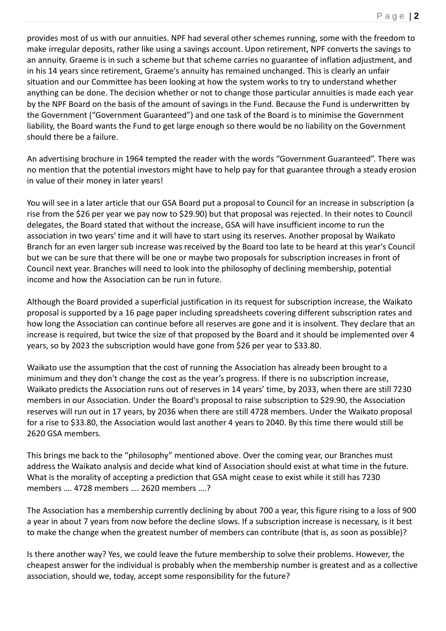provides most of us with our annuities. NPF had several other schemes running, some with the freedom to make irregular deposits, rather like using a savings account. Upon retirement, NPF converts the savings to an annuity. Graeme is in such a scheme but that scheme carries no guarantee of inflation adjustment, and in his 14 years since retirement, Graeme's annuity has remained unchanged. This is clearly an unfair situation and our Committee has been looking at how the system works to try to understand whether anything can be done. The decision whether or not to change those particular annuities is made each year by the NPF Board on the basis of the amount of savings in the Fund. Because the Fund is underwritten by the Government ("Government Guaranteed") and one task of the Board is to minimise the Government liability, the Board wants the Fund to get large enough so there would be no liability on the Government should there be a failure.

An advertising brochure in 1964 tempted the reader with the words "Government Guaranteed". There was no mention that the potential investors might have to help pay for that guarantee through a steady erosion in value of their money in later years!

You will see in a later article that our GSA Board put a proposal to Council for an increase in subscription (a rise from the \$26 per year we pay now to \$29.90) but that proposal was rejected. In their notes to Council delegates, the Board stated that without the increase, GSA will have insufficient income to run the association in two years' time and it will have to start using its reserves. Another proposal by Waikato Branch for an even larger sub increase was received by the Board too late to be heard at this year's Council but we can be sure that there will be one or maybe two proposals for subscription increases in front of Council next year. Branches will need to look into the philosophy of declining membership, potential income and how the Association can be run in future.

Although the Board provided a superficial justification in its request for subscription increase, the Waikato proposal is supported by a 16 page paper including spreadsheets covering different subscription rates and how long the Association can continue before all reserves are gone and it is insolvent. They declare that an increase is required, but twice the size of that proposed by the Board and it should be implemented over 4 years, so by 2023 the subscription would have gone from \$26 per year to \$33.80.

Waikato use the assumption that the cost of running the Association has already been brought to a minimum and they don't change the cost as the year's progress. If there is no subscription increase, Waikato predicts the Association runs out of reserves in 14 years' time, by 2033, when there are still 7230 members in our Association. Under the Board's proposal to raise subscription to \$29.90, the Association reserves will run out in 17 years, by 2036 when there are still 4728 members. Under the Waikato proposal for a rise to \$33.80, the Association would last another 4 years to 2040. By this time there would still be 2620 GSA members.

This brings me back to the "philosophy" mentioned above. Over the coming year, our Branches must address the Waikato analysis and decide what kind of Association should exist at what time in the future. What is the morality of accepting a prediction that GSA might cease to exist while it still has 7230 members …. 4728 members …. 2620 members ….?

The Association has a membership currently declining by about 700 a year, this figure rising to a loss of 900 a year in about 7 years from now before the decline slows. If a subscription increase is necessary, is it best to make the change when the greatest number of members can contribute (that is, as soon as possible)?

Is there another way? Yes, we could leave the future membership to solve their problems. However, the cheapest answer for the individual is probably when the membership number is greatest and as a collective association, should we, today, accept some responsibility for the future?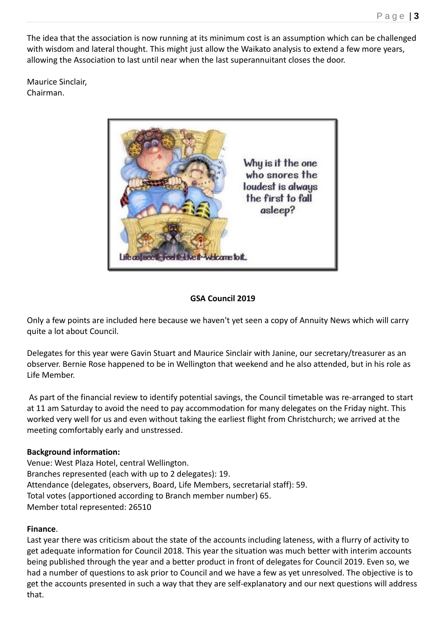The idea that the association is now running at its minimum cost is an assumption which can be challenged with wisdom and lateral thought. This might just allow the Waikato analysis to extend a few more years, allowing the Association to last until near when the last superannuitant closes the door.

Maurice Sinclair, Chairman.



## **GSA Council 2019**

Only a few points are included here because we haven't yet seen a copy of Annuity News which will carry quite a lot about Council.

Delegates for this year were Gavin Stuart and Maurice Sinclair with Janine, our secretary/treasurer as an observer. Bernie Rose happened to be in Wellington that weekend and he also attended, but in his role as Life Member.

As part of the financial review to identify potential savings, the Council timetable was re-arranged to start at 11 am Saturday to avoid the need to pay accommodation for many delegates on the Friday night. This worked very well for us and even without taking the earliest flight from Christchurch; we arrived at the meeting comfortably early and unstressed.

### **Background information:**

Venue: West Plaza Hotel, central Wellington. Branches represented (each with up to 2 delegates): 19. Attendance (delegates, observers, Board, Life Members, secretarial staff): 59. Total votes (apportioned according to Branch member number) 65. Member total represented: 26510

### **Finance**.

Last year there was criticism about the state of the accounts including lateness, with a flurry of activity to get adequate information for Council 2018. This year the situation was much better with interim accounts being published through the year and a better product in front of delegates for Council 2019. Even so, we had a number of questions to ask prior to Council and we have a few as yet unresolved. The objective is to get the accounts presented in such a way that they are self-explanatory and our next questions will address that.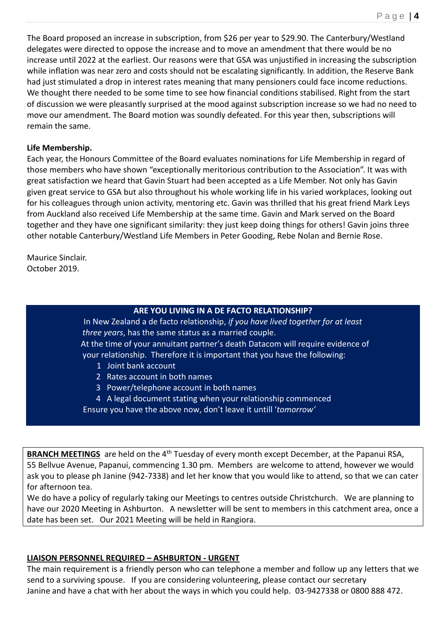The Board proposed an increase in subscription, from \$26 per year to \$29.90. The Canterbury/Westland delegates were directed to oppose the increase and to move an amendment that there would be no increase until 2022 at the earliest. Our reasons were that GSA was unjustified in increasing the subscription while inflation was near zero and costs should not be escalating significantly. In addition, the Reserve Bank had just stimulated a drop in interest rates meaning that many pensioners could face income reductions. We thought there needed to be some time to see how financial conditions stabilised. Right from the start of discussion we were pleasantly surprised at the mood against subscription increase so we had no need to move our amendment. The Board motion was soundly defeated. For this year then, subscriptions will remain the same.

### **Life Membership.**

Each year, the Honours Committee of the Board evaluates nominations for Life Membership in regard of those members who have shown "exceptionally meritorious contribution to the Association". It was with great satisfaction we heard that Gavin Stuart had been accepted as a Life Member. Not only has Gavin given great service to GSA but also throughout his whole working life in his varied workplaces, looking out for his colleagues through union activity, mentoring etc. Gavin was thrilled that his great friend Mark Leys from Auckland also received Life Membership at the same time. Gavin and Mark served on the Board together and they have one significant similarity: they just keep doing things for others! Gavin joins three other notable Canterbury/Westland Life Members in Peter Gooding, Rebe Nolan and Bernie Rose.

Maurice Sinclair. October 2019.

# **ARE YOU LIVING IN A DE FACTO RELATIONSHIP?**

In New Zealand a de facto relationship, *if you have lived together for at least three years*, has the same status as a married couple.

 At the time of your annuitant partner's death Datacom will require evidence of your relationship. Therefore it is important that you have the following:

- 1 Joint bank account
- 2 Rates account in both names
- 3 Power/telephone account in both names
- 4 A legal document stating when your relationship commenced
- Ensure you have the above now, don't leave it untill '*tomorrow'*

**BRANCH MEETINGS** are held on the 4<sup>th</sup> Tuesday of every month except December, at the Papanui RSA, 55 Bellvue Avenue, Papanui, commencing 1.30 pm. Members are welcome to attend, however we would ask you to please ph Janine (942-7338) and let her know that you would like to attend, so that we can cater for afternoon tea.

We do have a policy of regularly taking our Meetings to centres outside Christchurch. We are planning to have our 2020 Meeting in Ashburton. A newsletter will be sent to members in this catchment area, once a date has been set. Our 2021 Meeting will be held in Rangiora.

### **LIAISON PERSONNEL REQUIRED – ASHBURTON - URGENT**

The main requirement is a friendly person who can telephone a member and follow up any letters that we send to a surviving spouse. If you are considering volunteering, please contact our secretary Janine and have a chat with her about the ways in which you could help. 03-9427338 or 0800 888 472.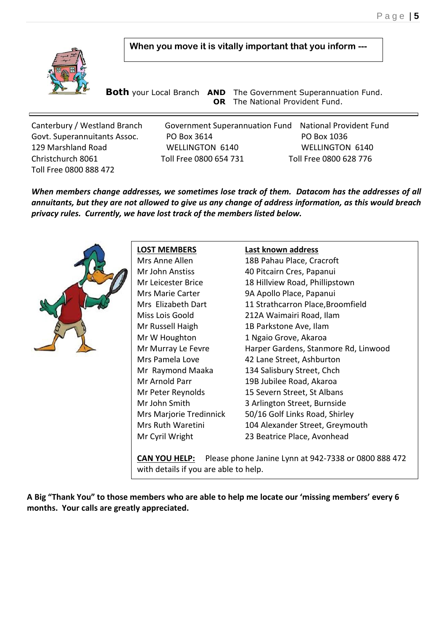

**When you move it is vitally important that you inform ---**

 **Both** your Local Branch **AND** The Government Superannuation Fund. **OR** The National Provident Fund.

Canterbury / Westland Branch Government Superannuation Fund National Provident Fund Govt. Superannuitants Assoc. PO Box 3614 PO Box 1036 129 Marshland Road WELLINGTON 6140 WELLINGTON 6140 Christchurch 8061 Toll Free 0800 654 731 Toll Free 0800 628 776 Toll Free 0800 888 472

*When members change addresses, we sometimes lose track of them. Datacom has the addresses of all annuitants, but they are not allowed to give us any change of address information, as this would breach privacy rules. Currently, we have lost track of the members listed below.* 



**LOST MEMBERS Last known address**

Mrs Anne Allen 18B Pahau Place, Cracroft Mr John Anstiss 40 Pitcairn Cres, Papanui Mr Leicester Brice 18 Hillview Road, Phillipstown Mrs Marie Carter 9A Apollo Place, Papanui Mrs Elizabeth Dart 11 Strathcarron Place, Broomfield Miss Lois Goold 212A Waimairi Road, Ilam Mr Russell Haigh 1B Parkstone Ave, Ilam Mr W Houghton 1 Ngaio Grove, Akaroa Mr Murray Le Fevre Harper Gardens, Stanmore Rd, Linwood Mrs Pamela Love 42 Lane Street, Ashburton Mr Raymond Maaka 134 Salisbury Street, Chch Mr Arnold Parr 19B Jubilee Road, Akaroa Mr Peter Reynolds 15 Severn Street, St Albans Mr John Smith 3 Arlington Street, Burnside Mrs Marjorie Tredinnick 50/16 Golf Links Road, Shirley Mrs Ruth Waretini 104 Alexander Street, Greymouth Mr Cyril Wright 23 Beatrice Place, Avonhead

**CAN YOU HELP:** Please phone Janine Lynn at 942-7338 or 0800 888 472 with details if you are able to help.

**A Big "Thank You" to those members who are able to help me locate our 'missing members' every 6 months. Your calls are greatly appreciated.**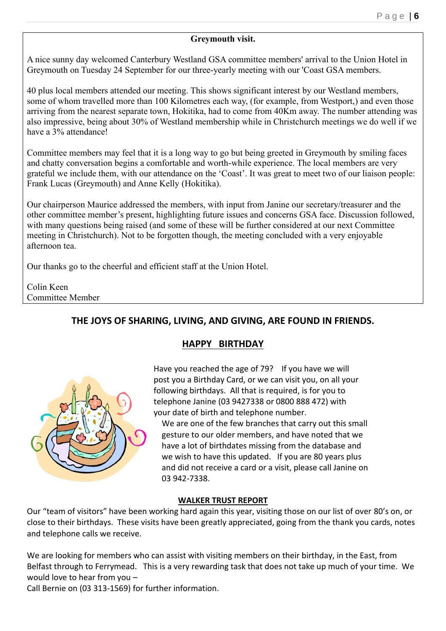### **Greymouth visit.**

A nice sunny day welcomed Canterbury Westland GSA committee members' arrival to the Union Hotel in Greymouth on Tuesday 24 September for our three-yearly meeting with our 'Coast GSA members.

40 plus local members attended our meeting. This shows significant interest by our Westland members, some of whom travelled more than 100 Kilometres each way, (for example, from Westport,) and even those arriving from the nearest separate town, Hokitika, had to come from 40Km away. The number attending was also impressive, being about 30% of Westland membership while in Christchurch meetings we do well if we have a 3% attendance!

Committee members may feel that it is a long way to go but being greeted in Greymouth by smiling faces and chatty conversation begins a comfortable and worth-while experience. The local members are very grateful we include them, with our attendance on the 'Coast'. It was great to meet two of our liaison people: Frank Lucas (Greymouth) and Anne Kelly (Hokitika).

Our chairperson Maurice addressed the members, with input from Janine our secretary/treasurer and the other committee member's present, highlighting future issues and concerns GSA face. Discussion followed, with many questions being raised (and some of these will be further considered at our next Committee meeting in Christchurch). Not to be forgotten though, the meeting concluded with a very enjoyable afternoon tea.

Our thanks go to the cheerful and efficient staff at the Union Hotel.

Colin Keen Committee Member

# **THE JOYS OF SHARING, LIVING, AND GIVING, ARE FOUND IN FRIENDS.**

# **HAPPY BIRTHDAY**



Have you reached the age of 79? If you have we will post you a Birthday Card, or we can visit you, on all your following birthdays. All that is required, is for you to telephone Janine (03 9427338 or 0800 888 472) with your date of birth and telephone number.

We are one of the few branches that carry out this small gesture to our older members, and have noted that we have a lot of birthdates missing from the database and we wish to have this updated. If you are 80 years plus and did not receive a card or a visit, please call Janine on 03 942-7338.

# **WALKER TRUST REPORT**

Our "team of visitors" have been working hard again this year, visiting those on our list of over 80's on, or close to their birthdays. These visits have been greatly appreciated, going from the thank you cards, notes and telephone calls we receive.

We are looking for members who can assist with visiting members on their birthday, in the East, from Belfast through to Ferrymead. This is a very rewarding task that does not take up much of your time. We would love to hear from you –

Call Bernie on (03 313-1569) for further information.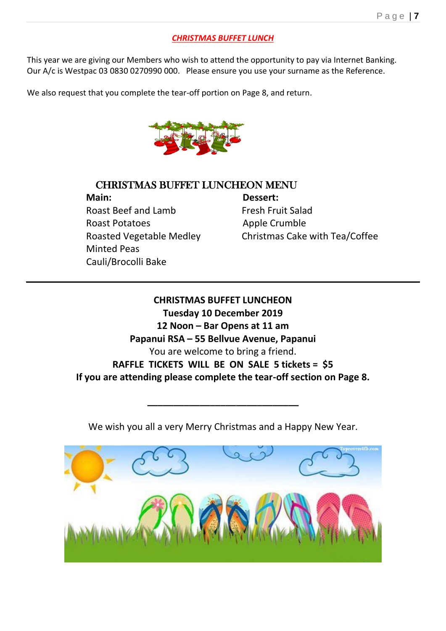# *CHRISTMAS BUFFET LUNCH*

This year we are giving our Members who wish to attend the opportunity to pay via Internet Banking. Our A/c is Westpac 03 0830 0270990 000. Please ensure you use your surname as the Reference.

We also request that you complete the tear-off portion on Page 8, and return.



# CHRISTMAS BUFFET LUNCHEON MENU

 **Main: Dessert:** Roast Beef and Lamb Fresh Fruit Salad Roast Potatoes **Apple Crumble**  Minted Peas Cauli/Brocolli Bake

Roasted Vegetable Medley Christmas Cake with Tea/Coffee

**CHRISTMAS BUFFET LUNCHEON Tuesday 10 December 2019 12 Noon – Bar Opens at 11 am Papanui RSA – 55 Bellvue Avenue, Papanui** You are welcome to bring a friend. **RAFFLE TICKETS WILL BE ON SALE 5 tickets = \$5 If you are attending please complete the tear-off section on Page 8.** 

We wish you all a very Merry Christmas and a Happy New Year.

**\_\_\_\_\_\_\_\_\_\_\_\_\_\_\_\_\_\_\_\_\_\_\_\_\_\_\_\_\_**